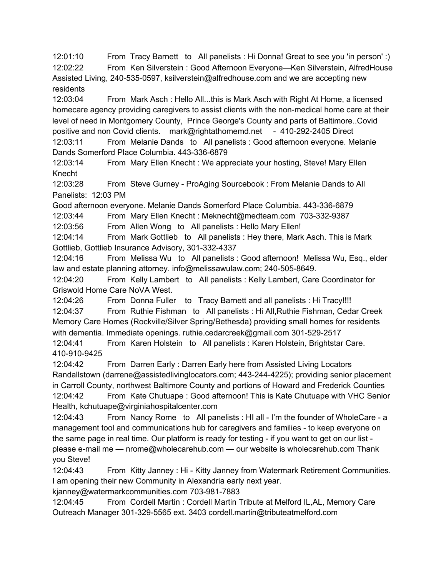12:01:10 From Tracy Barnett to All panelists : Hi Donna! Great to see you 'in person' :) 12:02:22 From Ken Silverstein : Good Afternoon Everyone—Ken Silverstein, AlfredHouse Assisted Living, 240-535-0597, ksilverstein@alfredhouse.com and we are accepting new residents

12:03:04 From Mark Asch : Hello All...this is Mark Asch with Right At Home, a licensed homecare agency providing caregivers to assist clients with the non-medical home care at their level of need in Montgomery County, Prince George's County and parts of Baltimore..Covid positive and non Covid clients. mark@rightathomemd.net - 410-292-2405 Direct 12:03:11 From Melanie Dands to All panelists : Good afternoon everyone. Melanie

Dands Somerford Place Columbia. 443-336-6879

12:03:14 From Mary Ellen Knecht : We appreciate your hosting, Steve! Mary Ellen Knecht

12:03:28 From Steve Gurney - ProAging Sourcebook : From Melanie Dands to All Panelists: 12:03 PM

Good afternoon everyone. Melanie Dands Somerford Place Columbia. 443-336-6879

12:03:44 From Mary Ellen Knecht : Meknecht@medteam.com 703-332-9387

12:03:56 From Allen Wong to All panelists : Hello Mary Ellen!

12:04:14 From Mark Gottlieb to All panelists : Hey there, Mark Asch. This is Mark Gottlieb, Gottlieb Insurance Advisory, 301-332-4337

12:04:16 From Melissa Wu to All panelists : Good afternoon! Melissa Wu, Esq., elder law and estate planning attorney. info@melissawulaw.com; 240-505-8649.

12:04:20 From Kelly Lambert to All panelists : Kelly Lambert, Care Coordinator for Griswold Home Care NoVA West.

12:04:26 From Donna Fuller to Tracy Barnett and all panelists : Hi Tracy!!!! 12:04:37 From Ruthie Fishman to All panelists : Hi All,Ruthie Fishman, Cedar Creek Memory Care Homes (Rockville/Silver Spring/Bethesda) providing small homes for residents with dementia. Immediate openings. ruthie.cedarcreek@gmail.com 301-529-2517

12:04:41 From Karen Holstein to All panelists : Karen Holstein, Brightstar Care. 410-910-9425

12:04:42 From Darren Early : Darren Early here from Assisted Living Locators Randallstown (darrene@assistedlivinglocators.com; 443-244-4225); providing senior placement in Carroll County, northwest Baltimore County and portions of Howard and Frederick Counties 12:04:42 From Kate Chutuape : Good afternoon! This is Kate Chutuape with VHC Senior Health, kchutuape@virginiahospitalcenter.com

12:04:43 From Nancy Rome to All panelists : HI all - I'm the founder of WholeCare - a management tool and communications hub for caregivers and families - to keep everyone on the same page in real time. Our platform is ready for testing - if you want to get on our list please e-mail me — nrome@wholecarehub.com — our website is wholecarehub.com Thank you Steve!

12:04:43 From Kitty Janney : Hi - Kitty Janney from Watermark Retirement Communities. I am opening their new Community in Alexandria early next year.

kjanney@watermarkcommunities.com 703-981-7883

12:04:45 From Cordell Martin : Cordell Martin Tribute at Melford IL,AL, Memory Care Outreach Manager 301-329-5565 ext. 3403 cordell.martin@tributeatmelford.com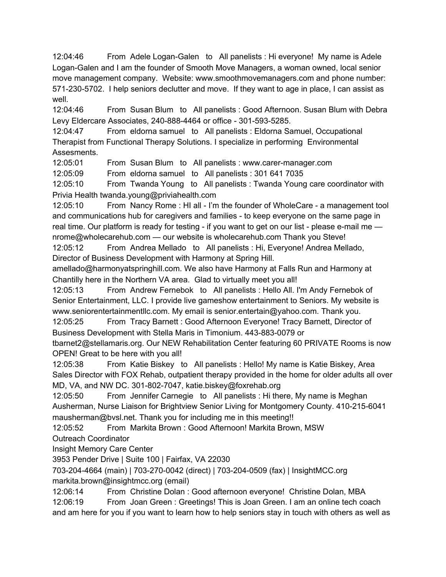12:04:46 From Adele Logan-Galen to All panelists : Hi everyone! My name is Adele Logan-Galen and I am the founder of Smooth Move Managers, a woman owned, local senior move management company. Website: www.smoothmovemanagers.com and phone number: 571-230-5702. I help seniors declutter and move. If they want to age in place, I can assist as well.

12:04:46 From Susan Blum to All panelists : Good Afternoon. Susan Blum with Debra Levy Eldercare Associates, 240-888-4464 or office - 301-593-5285.

12:04:47 From eldorna samuel to All panelists : Eldorna Samuel, Occupational Therapist from Functional Therapy Solutions. I specialize in performing Environmental Assesments.

12:05:01 From Susan Blum to All panelists : www.carer-manager.com

12:05:09 From eldorna samuel to All panelists : 301 641 7035

12:05:10 From Twanda Young to All panelists : Twanda Young care coordinator with Privia Health twanda.young@priviahealth.com

12:05:10 From Nancy Rome : HI all - I'm the founder of WholeCare - a management tool and communications hub for caregivers and families - to keep everyone on the same page in real time. Our platform is ready for testing - if you want to get on our list - please e-mail me nrome@wholecarehub.com — our website is wholecarehub.com Thank you Steve!

12:05:12 From Andrea Mellado to All panelists : Hi, Everyone! Andrea Mellado, Director of Business Development with Harmony at Spring Hill.

amellado@harmonyatspringhill.com. We also have Harmony at Falls Run and Harmony at Chantilly here in the Northern VA area. Glad to virtually meet you all!

12:05:13 From Andrew Fernebok to All panelists : Hello All. I'm Andy Fernebok of Senior Entertainment, LLC. I provide live gameshow entertainment to Seniors. My website is www.seniorentertainmentllc.com. My email is senior.entertain@yahoo.com. Thank you.

12:05:25 From Tracy Barnett : Good Afternoon Everyone! Tracy Barnett, Director of Business Development with Stella Maris in Timonium. 443-883-0079 or

tbarnet2@stellamaris.org. Our NEW Rehabilitation Center featuring 60 PRIVATE Rooms is now OPEN! Great to be here with you all!

12:05:38 From Katie Biskey to All panelists : Hello! My name is Katie Biskey, Area Sales Director with FOX Rehab, outpatient therapy provided in the home for older adults all over MD, VA, and NW DC. 301-802-7047, katie.biskey@foxrehab.org

12:05:50 From Jennifer Carnegie to All panelists : Hi there, My name is Meghan Ausherman, Nurse Liaison for Brightview Senior Living for Montgomery County. 410-215-6041 mausherman@bvsl.net. Thank you for including me in this meeting!!

12:05:52 From Markita Brown : Good Afternoon! Markita Brown, MSW Outreach Coordinator

Insight Memory Care Center

3953 Pender Drive | Suite 100 | Fairfax, VA 22030

703-204-4664 (main) | 703-270-0042 (direct) | 703-204-0509 (fax) | InsightMCC.org markita.brown@insightmcc.org (email)

12:06:14 From Christine Dolan : Good afternoon everyone! Christine Dolan, MBA

12:06:19 From Joan Green : Greetings! This is Joan Green. I am an online tech coach and am here for you if you want to learn how to help seniors stay in touch with others as well as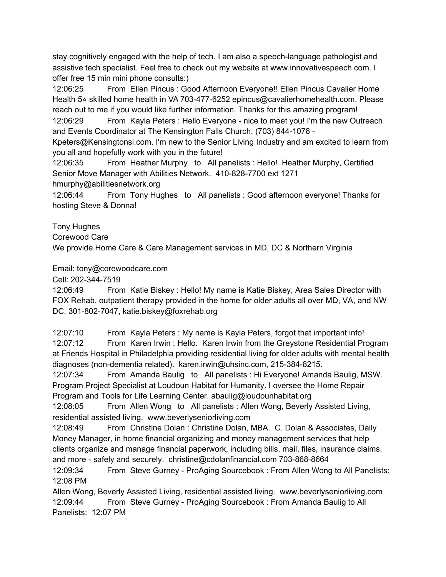stay cognitively engaged with the help of tech. I am also a speech-language pathologist and assistive tech specialist. Feel free to check out my website at www.innovativespeech.com. I offer free 15 min mini phone consults:)

12:06:25 From Ellen Pincus : Good Afternoon Everyone!! Ellen Pincus Cavalier Home Health 5<sup>★</sup> skilled home health in VA 703-477-6252 epincus@cavalierhomehealth.com. Please reach out to me if you would like further information. Thanks for this amazing program!

12:06:29 From Kayla Peters : Hello Everyone - nice to meet you! I'm the new Outreach and Events Coordinator at The Kensington Falls Church. (703) 844-1078 -

Kpeters@Kensingtonsl.com. I'm new to the Senior Living Industry and am excited to learn from you all and hopefully work with you in the future!

12:06:35 From Heather Murphy to All panelists : Hello! Heather Murphy, Certified Senior Move Manager with Abilities Network. 410-828-7700 ext 1271

hmurphy@abilitiesnetwork.org

12:06:44 From Tony Hughes to All panelists : Good afternoon everyone! Thanks for hosting Steve & Donna!

Tony Hughes

Corewood Care

We provide Home Care & Care Management services in MD, DC & Northern Virginia

Email: tony@corewoodcare.com

Cell: 202-344-7519

12:06:49 From Katie Biskey : Hello! My name is Katie Biskey, Area Sales Director with FOX Rehab, outpatient therapy provided in the home for older adults all over MD, VA, and NW DC. 301-802-7047, katie.biskey@foxrehab.org

12:07:10 From Kayla Peters : My name is Kayla Peters, forgot that important info!

12:07:12 From Karen Irwin : Hello. Karen Irwin from the Greystone Residential Program at Friends Hospital in Philadelphia providing residential living for older adults with mental health diagnoses (non-dementia related). karen.irwin@uhsinc.com, 215-384-8215.

12:07:34 From Amanda Baulig to All panelists : Hi Everyone! Amanda Baulig, MSW. Program Project Specialist at Loudoun Habitat for Humanity. I oversee the Home Repair Program and Tools for Life Learning Center. abaulig@loudounhabitat.org

12:08:05 From Allen Wong to All panelists : Allen Wong, Beverly Assisted Living, residential assisted living. www.beverlyseniorliving.com

12:08:49 From Christine Dolan : Christine Dolan, MBA. C. Dolan & Associates, Daily Money Manager, in home financial organizing and money management services that help clients organize and manage financial paperwork, including bills, mail, files, insurance claims, and more - safely and securely. christine@cdolanfinancial.com 703-868-8664

12:09:34 From Steve Gurney - ProAging Sourcebook : From Allen Wong to All Panelists: 12:08 PM

Allen Wong, Beverly Assisted Living, residential assisted living. www.beverlyseniorliving.com 12:09:44 From Steve Gurney - ProAging Sourcebook : From Amanda Baulig to All Panelists: 12:07 PM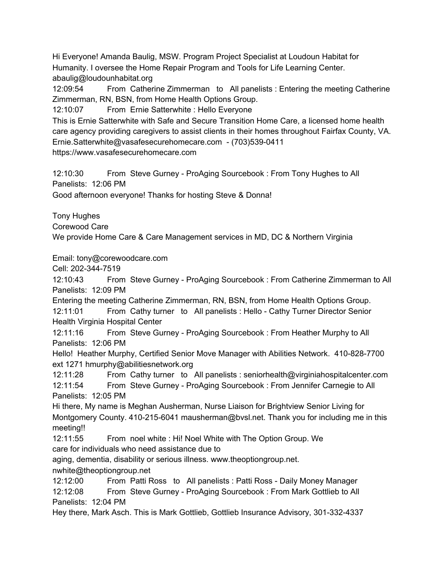Hi Everyone! Amanda Baulig, MSW. Program Project Specialist at Loudoun Habitat for Humanity. I oversee the Home Repair Program and Tools for Life Learning Center. abaulig@loudounhabitat.org

12:09:54 From Catherine Zimmerman to All panelists : Entering the meeting Catherine Zimmerman, RN, BSN, from Home Health Options Group.

12:10:07 From Ernie Satterwhite : Hello Everyone

This is Ernie Satterwhite with Safe and Secure Transition Home Care, a licensed home health care agency providing caregivers to assist clients in their homes throughout Fairfax County, VA. Ernie.Satterwhite@vasafesecurehomecare.com - (703)539-0411 https://www.vasafesecurehomecare.com

12:10:30 From Steve Gurney - ProAging Sourcebook : From Tony Hughes to All Panelists: 12:06 PM

Good afternoon everyone! Thanks for hosting Steve & Donna!

Tony Hughes

Corewood Care

We provide Home Care & Care Management services in MD, DC & Northern Virginia

Email: tony@corewoodcare.com

Cell: 202-344-7519

12:10:43 From Steve Gurney - ProAging Sourcebook : From Catherine Zimmerman to All Panelists: 12:09 PM

Entering the meeting Catherine Zimmerman, RN, BSN, from Home Health Options Group. 12:11:01 From Cathy turner to All panelists : Hello - Cathy Turner Director Senior Health Virginia Hospital Center

12:11:16 From Steve Gurney - ProAging Sourcebook : From Heather Murphy to All Panelists: 12:06 PM

Hello! Heather Murphy, Certified Senior Move Manager with Abilities Network. 410-828-7700 ext 1271 hmurphy@abilitiesnetwork.org

12:11:28 From Cathy turner to All panelists : seniorhealth@virginiahospitalcenter.com 12:11:54 From Steve Gurney - ProAging Sourcebook : From Jennifer Carnegie to All Panelists: 12:05 PM

Hi there, My name is Meghan Ausherman, Nurse Liaison for Brightview Senior Living for Montgomery County. 410-215-6041 mausherman@bvsl.net. Thank you for including me in this meeting!!

12:11:55 From noel white : Hi! Noel White with The Option Group. We care for individuals who need assistance due to

aging, dementia, disability or serious illness. www.theoptiongroup.net.

nwhite@theoptiongroup.net

12:12:00 From Patti Ross to All panelists : Patti Ross - Daily Money Manager 12:12:08 From Steve Gurney - ProAging Sourcebook : From Mark Gottlieb to All Panelists: 12:04 PM

Hey there, Mark Asch. This is Mark Gottlieb, Gottlieb Insurance Advisory, 301-332-4337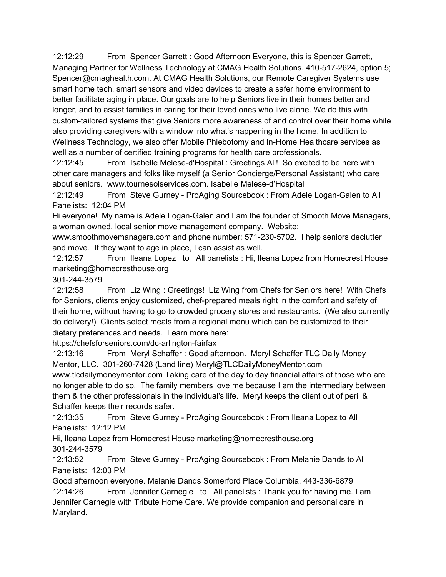12:12:29 From Spencer Garrett : Good Afternoon Everyone, this is Spencer Garrett, Managing Partner for Wellness Technology at CMAG Health Solutions. 410-517-2624, option 5; Spencer@cmaghealth.com. At CMAG Health Solutions, our Remote Caregiver Systems use smart home tech, smart sensors and video devices to create a safer home environment to better facilitate aging in place. Our goals are to help Seniors live in their homes better and longer, and to assist families in caring for their loved ones who live alone. We do this with custom-tailored systems that give Seniors more awareness of and control over their home while also providing caregivers with a window into what's happening in the home. In addition to Wellness Technology, we also offer Mobile Phlebotomy and In-Home Healthcare services as well as a number of certified training programs for health care professionals.

12:12:45 From Isabelle Melese-d'Hospital : Greetings All! So excited to be here with other care managers and folks like myself (a Senior Concierge/Personal Assistant) who care about seniors. www.tournesolservices.com. Isabelle Melese-d'Hospital

12:12:49 From Steve Gurney - ProAging Sourcebook : From Adele Logan-Galen to All Panelists: 12:04 PM

Hi everyone! My name is Adele Logan-Galen and I am the founder of Smooth Move Managers, a woman owned, local senior move management company. Website:

www.smoothmovemanagers.com and phone number: 571-230-5702. I help seniors declutter and move. If they want to age in place, I can assist as well.

12:12:57 From Ileana Lopez to All panelists : Hi, Ileana Lopez from Homecrest House marketing@homecresthouse.org

301-244-3579

12:12:58 From Liz Wing : Greetings! Liz Wing from Chefs for Seniors here! With Chefs for Seniors, clients enjoy customized, chef-prepared meals right in the comfort and safety of their home, without having to go to crowded grocery stores and restaurants. (We also currently do delivery!) Clients select meals from a regional menu which can be customized to their dietary preferences and needs. Learn more here:

https://chefsforseniors.com/dc-arlington-fairfax

12:13:16 From Meryl Schaffer : Good afternoon. Meryl Schaffer TLC Daily Money Mentor, LLC. 301-260-7428 (Land line) Meryl@TLCDailyMoneyMentor.com www.tlcdailymoneymentor.com Taking care of the day to day financial affairs of those who are no longer able to do so. The family members love me because I am the intermediary between them & the other professionals in the individual's life. Meryl keeps the client out of peril & Schaffer keeps their records safer.

12:13:35 From Steve Gurney - ProAging Sourcebook : From Ileana Lopez to All Panelists: 12:12 PM

Hi, Ileana Lopez from Homecrest House marketing@homecresthouse.org 301-244-3579

12:13:52 From Steve Gurney - ProAging Sourcebook : From Melanie Dands to All Panelists: 12:03 PM

Good afternoon everyone. Melanie Dands Somerford Place Columbia. 443-336-6879 12:14:26 From Jennifer Carnegie to All panelists : Thank you for having me. I am Jennifer Carnegie with Tribute Home Care. We provide companion and personal care in Maryland.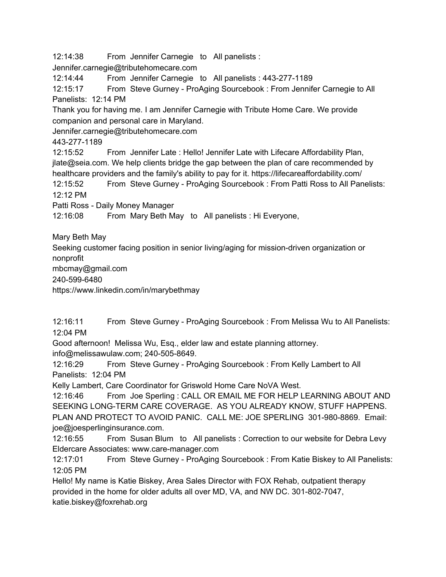12:14:38 From Jennifer Carnegie to All panelists :

Jennifer.carnegie@tributehomecare.com

12:14:44 From Jennifer Carnegie to All panelists : 443-277-1189

12:15:17 From Steve Gurney - ProAging Sourcebook : From Jennifer Carnegie to All Panelists: 12:14 PM

Thank you for having me. I am Jennifer Carnegie with Tribute Home Care. We provide companion and personal care in Maryland.

Jennifer.carnegie@tributehomecare.com

443-277-1189

12:15:52 From Jennifer Late : Hello! Jennifer Late with Lifecare Affordability Plan, jlate@seia.com. We help clients bridge the gap between the plan of care recommended by healthcare providers and the family's ability to pay for it. https://lifecareaffordability.com/

12:15:52 From Steve Gurney - ProAging Sourcebook : From Patti Ross to All Panelists: 12:12 PM

Patti Ross - Daily Money Manager

12:16:08 From Mary Beth May to All panelists : Hi Everyone,

Mary Beth May

Seeking customer facing position in senior living/aging for mission-driven organization or nonprofit

mbcmay@gmail.com

240-599-6480

https://www.linkedin.com/in/marybethmay

12:16:11 From Steve Gurney - ProAging Sourcebook : From Melissa Wu to All Panelists: 12:04 PM

Good afternoon! Melissa Wu, Esq., elder law and estate planning attorney. info@melissawulaw.com; 240-505-8649.

12:16:29 From Steve Gurney - ProAging Sourcebook : From Kelly Lambert to All Panelists: 12:04 PM

Kelly Lambert, Care Coordinator for Griswold Home Care NoVA West.

12:16:46 From Joe Sperling : CALL OR EMAIL ME FOR HELP LEARNING ABOUT AND SEEKING LONG-TERM CARE COVERAGE. AS YOU ALREADY KNOW, STUFF HAPPENS. PLAN AND PROTECT TO AVOID PANIC. CALL ME: JOE SPERLING 301-980-8869. Email: joe@joesperlinginsurance.com.

12:16:55 From Susan Blum to All panelists : Correction to our website for Debra Levy Eldercare Associates: www.care-manager.com

12:17:01 From Steve Gurney - ProAging Sourcebook : From Katie Biskey to All Panelists: 12:05 PM

Hello! My name is Katie Biskey, Area Sales Director with FOX Rehab, outpatient therapy provided in the home for older adults all over MD, VA, and NW DC. 301-802-7047, katie.biskey@foxrehab.org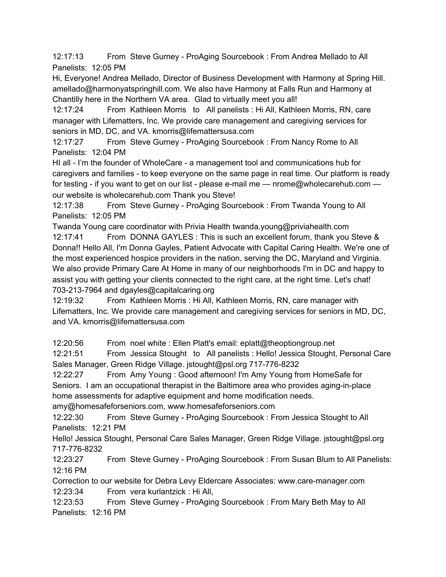12:17:13 From Steve Gurney - ProAging Sourcebook : From Andrea Mellado to All Panelists: 12:05 PM

Hi, Everyone! Andrea Mellado, Director of Business Development with Harmony at Spring Hill. amellado@harmonyatspringhill.com. We also have Harmony at Falls Run and Harmony at Chantilly here in the Northern VA area. Glad to virtually meet you all!

12:17:24 From Kathleen Morris to All panelists : Hi All, Kathleen Morris, RN, care manager with Lifematters, Inc. We provide care management and caregiving services for seniors in MD, DC, and VA. kmorris@lifemattersusa.com

12:17:27 From Steve Gurney - ProAging Sourcebook : From Nancy Rome to All Panelists: 12:04 PM

HI all - I'm the founder of WholeCare - a management tool and communications hub for caregivers and families - to keep everyone on the same page in real time. Our platform is ready for testing - if you want to get on our list - please e-mail me — nrome@wholecarehub.com our website is wholecarehub.com Thank you Steve!

12:17:38 From Steve Gurney - ProAging Sourcebook : From Twanda Young to All Panelists: 12:05 PM

Twanda Young care coordinator with Privia Health twanda.young@priviahealth.com 12:17:41 From DONNA GAYLES : This is such an excellent forum, thank you Steve & Donna!! Hello All, I'm Donna Gayles, Patient Advocate with Capital Caring Health. We're one of the most experienced hospice providers in the nation, serving the DC, Maryland and Virginia. We also provide Primary Care At Home in many of our neighborhoods I'm in DC and happy to assist you with getting your clients connected to the right care, at the right time. Let's chat! 703-213-7964 and dgayles@capitalcaring.org

12:19:32 From Kathleen Morris : Hi All, Kathleen Morris, RN, care manager with Lifematters, Inc. We provide care management and caregiving services for seniors in MD, DC, and VA. kmorris@lifemattersusa.com

12:20:56 From noel white : Ellen Platt's email: eplatt@theoptiongroup.net

12:21:51 From Jessica Stought to All panelists : Hello! Jessica Stought, Personal Care Sales Manager, Green Ridge Village. jstought@psl.org 717-776-8232

12:22:27 From Amy Young : Good afternoon! I'm Amy Young from HomeSafe for Seniors. I am an occupational therapist in the Baltimore area who provides aging-in-place home assessments for adaptive equipment and home modification needs.

amy@homesafeforseniors.com, www.homesafeforseniors.com

12:22:30 From Steve Gurney - ProAging Sourcebook : From Jessica Stought to All Panelists: 12:21 PM

Hello! Jessica Stought, Personal Care Sales Manager, Green Ridge Village. jstought@psl.org 717-776-8232

12:23:27 From Steve Gurney - ProAging Sourcebook : From Susan Blum to All Panelists: 12:16 PM

Correction to our website for Debra Levy Eldercare Associates: www.care-manager.com 12:23:34 From vera kurlantzick : Hi All,

12:23:53 From Steve Gurney - ProAging Sourcebook : From Mary Beth May to All Panelists: 12:16 PM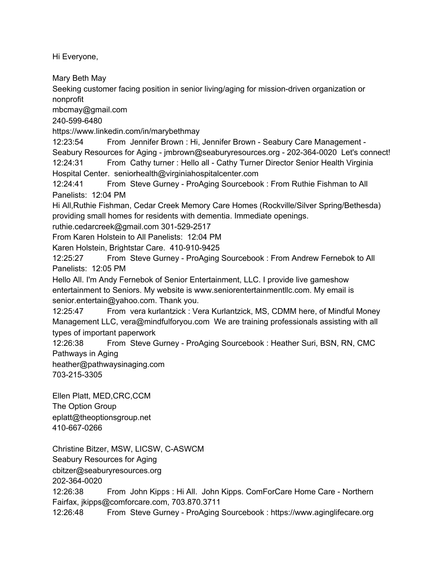Hi Everyone,

Mary Beth May

Seeking customer facing position in senior living/aging for mission-driven organization or nonprofit

mbcmay@gmail.com

240-599-6480

https://www.linkedin.com/in/marybethmay

12:23:54 From Jennifer Brown : Hi, Jennifer Brown - Seabury Care Management - Seabury Resources for Aging - jmbrown@seaburyresources.org - 202-364-0020 Let's connect! 12:24:31 From Cathy turner : Hello all - Cathy Turner Director Senior Health Virginia Hospital Center. seniorhealth@virginiahospitalcenter.com

12:24:41 From Steve Gurney - ProAging Sourcebook : From Ruthie Fishman to All Panelists: 12:04 PM

Hi All,Ruthie Fishman, Cedar Creek Memory Care Homes (Rockville/Silver Spring/Bethesda) providing small homes for residents with dementia. Immediate openings.

ruthie.cedarcreek@gmail.com 301-529-2517

From Karen Holstein to All Panelists: 12:04 PM

Karen Holstein, Brightstar Care. 410-910-9425

12:25:27 From Steve Gurney - ProAging Sourcebook : From Andrew Fernebok to All Panelists: 12:05 PM

Hello All. I'm Andy Fernebok of Senior Entertainment, LLC. I provide live gameshow entertainment to Seniors. My website is www.seniorentertainmentllc.com. My email is senior.entertain@yahoo.com. Thank you.

12:25:47 From vera kurlantzick : Vera Kurlantzick, MS, CDMM here, of Mindful Money Management LLC, vera@mindfulforyou.com We are training professionals assisting with all types of important paperwork

12:26:38 From Steve Gurney - ProAging Sourcebook : Heather Suri, BSN, RN, CMC Pathways in Aging

heather@pathwaysinaging.com 703-215-3305

Ellen Platt, MED,CRC,CCM The Option Group eplatt@theoptionsgroup.net 410-667-0266

Christine Bitzer, MSW, LICSW, C-ASWCM Seabury Resources for Aging cbitzer@seaburyresources.org 202-364-0020 12:26:38 From John Kipps : Hi All. John Kipps. ComForCare Home Care - Northern Fairfax, jkipps@comforcare.com, 703.870.3711 12:26:48 From Steve Gurney - ProAging Sourcebook : https://www.aginglifecare.org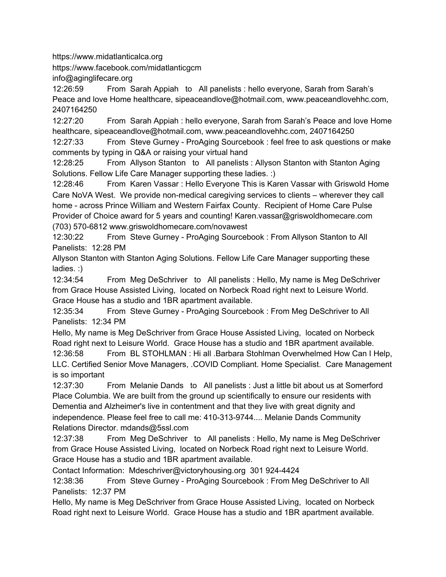https://www.midatlanticalca.org

https://www.facebook.com/midatlanticgcm

info@aginglifecare.org

12:26:59 From Sarah Appiah to All panelists : hello everyone, Sarah from Sarah's Peace and love Home healthcare, sipeaceandlove@hotmail.com, www.peaceandlovehhc.com, 2407164250

12:27:20 From Sarah Appiah : hello everyone, Sarah from Sarah's Peace and love Home healthcare, sipeaceandlove@hotmail.com, www.peaceandlovehhc.com, 2407164250

12:27:33 From Steve Gurney - ProAging Sourcebook : feel free to ask questions or make comments by typing in Q&A or raising your virtual hand

12:28:25 From Allyson Stanton to All panelists : Allyson Stanton with Stanton Aging Solutions. Fellow Life Care Manager supporting these ladies. :)

12:28:46 From Karen Vassar : Hello Everyone This is Karen Vassar with Griswold Home Care NoVA West. We provide non-medical caregiving services to clients – wherever they call home - across Prince William and Western Fairfax County. Recipient of Home Care Pulse Provider of Choice award for 5 years and counting! Karen.vassar@griswoldhomecare.com (703) 570-6812 www.griswoldhomecare.com/novawest

12:30:22 From Steve Gurney - ProAging Sourcebook : From Allyson Stanton to All Panelists: 12:28 PM

Allyson Stanton with Stanton Aging Solutions. Fellow Life Care Manager supporting these ladies. :)

12:34:54 From Meg DeSchriver to All panelists : Hello, My name is Meg DeSchriver from Grace House Assisted Living, located on Norbeck Road right next to Leisure World. Grace House has a studio and 1BR apartment available.

12:35:34 From Steve Gurney - ProAging Sourcebook : From Meg DeSchriver to All Panelists: 12:34 PM

Hello, My name is Meg DeSchriver from Grace House Assisted Living, located on Norbeck Road right next to Leisure World. Grace House has a studio and 1BR apartment available.

12:36:58 From BL STOHLMAN : Hi all .Barbara Stohlman Overwhelmed How Can I Help, LLC. Certified Senior Move Managers, .COVID Compliant. Home Specialist. Care Management is so important

12:37:30 From Melanie Dands to All panelists : Just a little bit about us at Somerford Place Columbia. We are built from the ground up scientifically to ensure our residents with Dementia and Alzheimer's live in contentment and that they live with great dignity and independence. Please feel free to call me: 410-313-9744.... Melanie Dands Community Relations Director. mdands@5ssl.com

12:37:38 From Meg DeSchriver to All panelists : Hello, My name is Meg DeSchriver from Grace House Assisted Living, located on Norbeck Road right next to Leisure World. Grace House has a studio and 1BR apartment available.

Contact Information: Mdeschriver@victoryhousing.org 301 924-4424

12:38:36 From Steve Gurney - ProAging Sourcebook : From Meg DeSchriver to All Panelists: 12:37 PM

Hello, My name is Meg DeSchriver from Grace House Assisted Living, located on Norbeck Road right next to Leisure World. Grace House has a studio and 1BR apartment available.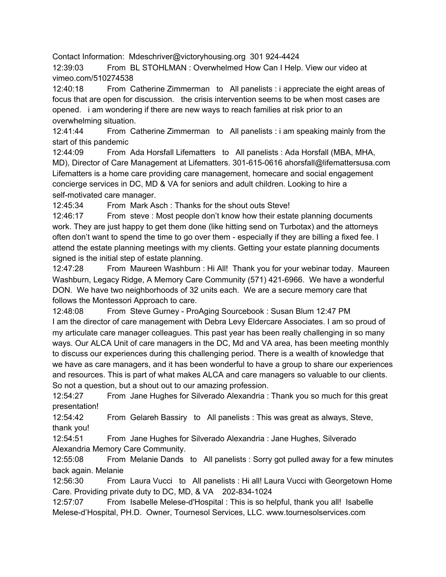Contact Information: Mdeschriver@victoryhousing.org 301 924-4424

12:39:03 From BL STOHLMAN : Overwhelmed How Can I Help. View our video at vimeo.com/510274538

12:40:18 From Catherine Zimmerman to All panelists : i appreciate the eight areas of focus that are open for discussion. the crisis intervention seems to be when most cases are opened. i am wondering if there are new ways to reach families at risk prior to an overwhelming situation.

12:41:44 From Catherine Zimmerman to All panelists : i am speaking mainly from the start of this pandemic

12:44:09 From Ada Horsfall Lifematters to All panelists : Ada Horsfall (MBA, MHA, MD), Director of Care Management at Lifematters. 301-615-0616 ahorsfall@lifemattersusa.com Lifematters is a home care providing care management, homecare and social engagement concierge services in DC, MD & VA for seniors and adult children. Looking to hire a self-motivated care manager.

12:45:34 From Mark Asch : Thanks for the shout outs Steve!

12:46:17 From steve : Most people don't know how their estate planning documents work. They are just happy to get them done (like hitting send on Turbotax) and the attorneys often don't want to spend the time to go over them - especially if they are billing a fixed fee. I attend the estate planning meetings with my clients. Getting your estate planning documents signed is the initial step of estate planning.

12:47:28 From Maureen Washburn : Hi All! Thank you for your webinar today. Maureen Washburn, Legacy Ridge, A Memory Care Community (571) 421-6966. We have a wonderful DON. We have two neighborhoods of 32 units each. We are a secure memory care that follows the Montessori Approach to care.

12:48:08 From Steve Gurney - ProAging Sourcebook : Susan Blum 12:47 PM I am the director of care management with Debra Levy Eldercare Associates. I am so proud of my articulate care manager colleagues. This past year has been really challenging in so many ways. Our ALCA Unit of care managers in the DC, Md and VA area, has been meeting monthly to discuss our experiences during this challenging period. There is a wealth of knowledge that we have as care managers, and it has been wonderful to have a group to share our experiences and resources. This is part of what makes ALCA and care managers so valuable to our clients. So not a question, but a shout out to our amazing profession.

12:54:27 From Jane Hughes for Silverado Alexandria : Thank you so much for this great presentation!

12:54:42 From Gelareh Bassiry to All panelists : This was great as always, Steve, thank you!

12:54:51 From Jane Hughes for Silverado Alexandria : Jane Hughes, Silverado Alexandria Memory Care Community.

12:55:08 From Melanie Dands to All panelists : Sorry got pulled away for a few minutes back again. Melanie

12:56:30 From Laura Vucci to All panelists : Hi all! Laura Vucci with Georgetown Home Care. Providing private duty to DC, MD, & VA 202-834-1024

12:57:07 From Isabelle Melese-d'Hospital : This is so helpful, thank you all! Isabelle Melese-d'Hospital, PH.D. Owner, Tournesol Services, LLC. www.tournesolservices.com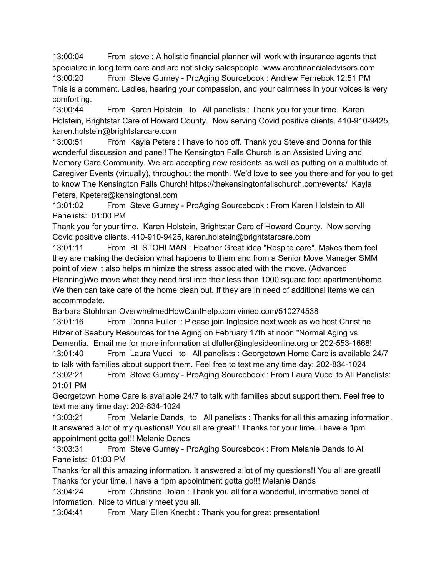13:00:04 From steve : A holistic financial planner will work with insurance agents that specialize in long term care and are not slicky salespeople. www.archfinancialadvisors.com

13:00:20 From Steve Gurney - ProAging Sourcebook : Andrew Fernebok 12:51 PM This is a comment. Ladies, hearing your compassion, and your calmness in your voices is very comforting.

13:00:44 From Karen Holstein to All panelists : Thank you for your time. Karen Holstein, Brightstar Care of Howard County. Now serving Covid positive clients. 410-910-9425, karen.holstein@brightstarcare.com

13:00:51 From Kayla Peters : I have to hop off. Thank you Steve and Donna for this wonderful discussion and panel! The Kensington Falls Church is an Assisted Living and Memory Care Community. We are accepting new residents as well as putting on a multitude of Caregiver Events (virtually), throughout the month. We'd love to see you there and for you to get to know The Kensington Falls Church! https://thekensingtonfallschurch.com/events/ Kayla Peters, Kpeters@kensingtonsl.com

13:01:02 From Steve Gurney - ProAging Sourcebook : From Karen Holstein to All Panelists: 01:00 PM

Thank you for your time. Karen Holstein, Brightstar Care of Howard County. Now serving Covid positive clients. 410-910-9425, karen.holstein@brightstarcare.com

13:01:11 From BL STOHLMAN : Heather Great idea "Respite care". Makes them feel they are making the decision what happens to them and from a Senior Move Manager SMM point of view it also helps minimize the stress associated with the move. (Advanced Planning)We move what they need first into their less than 1000 square foot apartment/home. We then can take care of the home clean out. If they are in need of additional items we can accommodate.

Barbara Stohlman OverwhelmedHowCanIHelp.com vimeo.com/510274538

13:01:16 From Donna Fuller : Please join Ingleside next week as we host Christine Bitzer of Seabury Resources for the Aging on February 17th at noon "Normal Aging vs. Dementia. Email me for more information at dfuller@inglesideonline.org or 202-553-1668!

13:01:40 From Laura Vucci to All panelists : Georgetown Home Care is available 24/7 to talk with families about support them. Feel free to text me any time day: 202-834-1024

13:02:21 From Steve Gurney - ProAging Sourcebook : From Laura Vucci to All Panelists: 01:01 PM

Georgetown Home Care is available 24/7 to talk with families about support them. Feel free to text me any time day: 202-834-1024

13:03:21 From Melanie Dands to All panelists : Thanks for all this amazing information. It answered a lot of my questions!! You all are great!! Thanks for your time. I have a 1pm appointment gotta go!!! Melanie Dands

13:03:31 From Steve Gurney - ProAging Sourcebook : From Melanie Dands to All Panelists: 01:03 PM

Thanks for all this amazing information. It answered a lot of my questions!! You all are great!! Thanks for your time. I have a 1pm appointment gotta go!!! Melanie Dands

13:04:24 From Christine Dolan : Thank you all for a wonderful, informative panel of information. Nice to virtually meet you all.

13:04:41 From Mary Ellen Knecht : Thank you for great presentation!